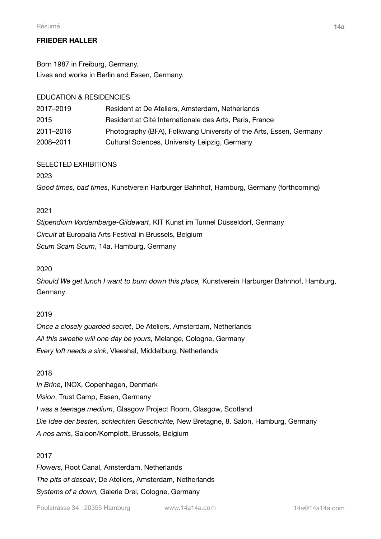# **FRIEDER HALLER**

Born 1987 in Freiburg, Germany. Lives and works in Berlin and Essen, Germany.

## EDUCATION & RESIDENCIES

| 2017-2019 | Resident at De Ateliers, Amsterdam, Netherlands                    |
|-----------|--------------------------------------------------------------------|
| 2015      | Resident at Cité Internationale des Arts, Paris, France            |
| 2011–2016 | Photography (BFA), Folkwang University of the Arts, Essen, Germany |
| 2008-2011 | Cultural Sciences, University Leipzig, Germany                     |

## SELECTED EXHIBITIONS

2023

*Good times, bad times*, Kunstverein Harburger Bahnhof, Hamburg, Germany (forthcoming)

## 2021

*Stipendium Vordemberge-Gildewart*, KIT Kunst im Tunnel Düsseldorf, Germany *Circuit* at Europalia Arts Festival in Brussels, Belgium *Scum Scam Scum*, 14a, Hamburg, Germany

### 2020

*Should We get lunch I want to burn down this place,* Kunstverein Harburger Bahnhof, Hamburg, **Germany** 

## 2019

*Once a closely guarded secret*, De Ateliers, Amsterdam, Netherlands *All this sweetie will one day be yours,* Melange, Cologne, Germany *Every loft needs a sink*, Vleeshal, Middelburg, Netherlands

#### 2018

*In Brine*, INOX, Copenhagen, Denmark *Vision*, Trust Camp, Essen, Germany *I was a teenage medium*, Glasgow Project Room, Glasgow, Scotland *Die Idee der besten, schlechten Geschichte,* New Bretagne, 8. Salon, Hamburg, Germany *A nos amis*, Saloon/Komplott, Brussels, Belgium

## 2017

*Flowers,* Root Canal, Amsterdam, Netherlands *The pits of despair*, De Ateliers, Amsterdam, Netherlands *Systems of a down,* Galerie Drei, Cologne, Germany